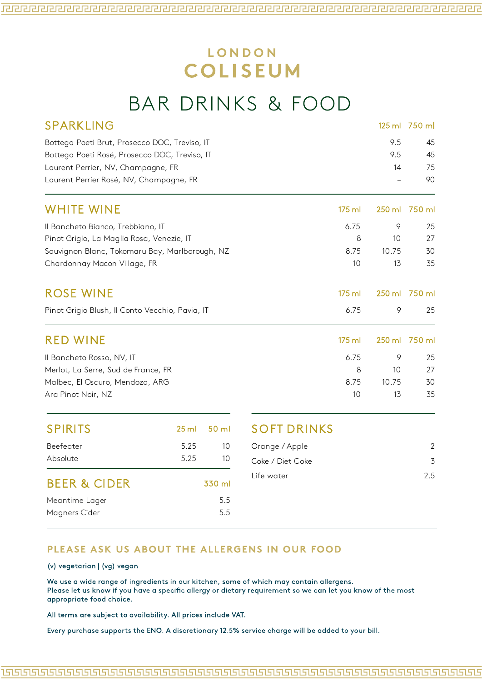### LONDON **COLISEUM**

## BAR DRINKS & FOOD

| <b>SPARKLING</b>                                |        | $125$ ml | 750 ml |
|-------------------------------------------------|--------|----------|--------|
| Bottega Poeti Brut, Prosecco DOC, Treviso, IT   |        | 9.5      | 45     |
| Bottega Poeti Rosé, Prosecco DOC, Treviso, IT   |        | 9.5      | 45     |
| Laurent Perrier, NV, Champagne, FR              |        | 14       | 75     |
| Laurent Perrier Rosé, NV, Champagne, FR         |        |          | 90     |
| <b>WHITE WINE</b>                               | 175 ml | 250 ml   | 750 ml |
| Il Bancheto Bianco, Trebbiano, IT               | 6.75   | 9        | 25     |
| Pinot Grigio, La Maglia Rosa, Venezie, IT       | 8      | 10       | 27     |
| Sauvignon Blanc, Tokomaru Bay, Marlborough, NZ  | 8.75   | 10.75    | 30     |
| Chardonnay Macon Village, FR                    | 10     | 13       | 35     |
| <b>ROSE WINE</b>                                | 175 ml | 250 ml   | 750 ml |
| Pinot Grigio Blush, Il Conto Vecchio, Pavia, IT | 6.75   | 9        | 25     |
| <b>RED WINE</b>                                 | 175 ml | 250 ml   | 750 ml |
| Il Bancheto Rosso, NV, IT                       | 6.75   | 9        | 25     |
| Merlot, La Serre, Sud de France, FR             | 8      | 10       | 27     |
| Malbec, El Oscuro, Mendoza, ARG                 | 8.75   | 10.75    | 30     |
| Ara Pinot Noir, NZ                              | 10     | 13       | 35     |
|                                                 |        |          |        |

| <b>SPIRITS</b>                  |              | $25 \text{ ml}$ 50 ml |
|---------------------------------|--------------|-----------------------|
| Beefeater<br>Absolute           | 5.25<br>5.25 | 10<br>10              |
| <b>BEER &amp; CIDER</b>         |              | 330 ml                |
| Meantime Lager<br>Magners Cider |              | 5.5<br>5.5            |

#### **SOFT DRINKS**

| 2.5 |
|-----|
|     |

#### PLEASE ASK US ABOUT THE ALLERGENS IN OUR FOOD

(v) vegetarian | (vg) vegan

We use a wide range of ingredients in our kitchen, some of which may contain allergens. Please let us know if you have a specific allergy or dietary requirement so we can let you know of the most appropriate food choice.

All terms are subject to availability. All prices include VAT.

Every purchase supports the ENO. A discretionary 12.5% service charge will be added to your bill.